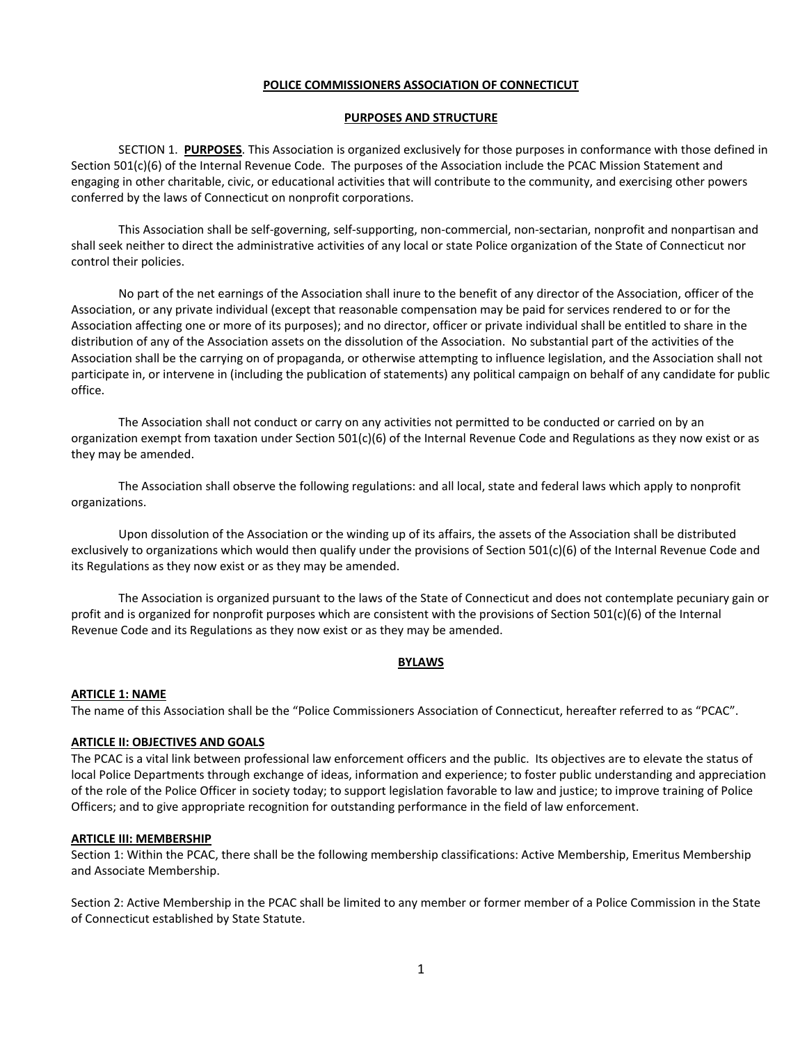### **POLICE COMMISSIONERS ASSOCIATION OF CONNECTICUT**

#### **PURPOSES AND STRUCTURE**

SECTION 1. **PURPOSES**. This Association is organized exclusively for those purposes in conformance with those defined in Section 501(c)(6) of the Internal Revenue Code. The purposes of the Association include the PCAC Mission Statement and engaging in other charitable, civic, or educational activities that will contribute to the community, and exercising other powers conferred by the laws of Connecticut on nonprofit corporations.

This Association shall be self-governing, self-supporting, non-commercial, non-sectarian, nonprofit and nonpartisan and shall seek neither to direct the administrative activities of any local or state Police organization of the State of Connecticut nor control their policies.

No part of the net earnings of the Association shall inure to the benefit of any director of the Association, officer of the Association, or any private individual (except that reasonable compensation may be paid for services rendered to or for the Association affecting one or more of its purposes); and no director, officer or private individual shall be entitled to share in the distribution of any of the Association assets on the dissolution of the Association. No substantial part of the activities of the Association shall be the carrying on of propaganda, or otherwise attempting to influence legislation, and the Association shall not participate in, or intervene in (including the publication of statements) any political campaign on behalf of any candidate for public office.

The Association shall not conduct or carry on any activities not permitted to be conducted or carried on by an organization exempt from taxation under Section  $501(c)(6)$  of the Internal Revenue Code and Regulations as they now exist or as they may be amended.

The Association shall observe the following regulations: and all local, state and federal laws which apply to nonprofit organizations.

Upon dissolution of the Association or the winding up of its affairs, the assets of the Association shall be distributed exclusively to organizations which would then qualify under the provisions of Section 501(c)(6) of the Internal Revenue Code and its Regulations as they now exist or as they may be amended.

The Association is organized pursuant to the laws of the State of Connecticut and does not contemplate pecuniary gain or profit and is organized for nonprofit purposes which are consistent with the provisions of Section 501(c)(6) of the Internal Revenue Code and its Regulations as they now exist or as they may be amended.

## **BYLAWS**

#### **ARTICLE 1: NAME**

The name of this Association shall be the "Police Commissioners Association of Connecticut, hereafter referred to as "PCAC".

#### **ARTICLE II: OBJECTIVES AND GOALS**

The PCAC is a vital link between professional law enforcement officers and the public. Its objectives are to elevate the status of local Police Departments through exchange of ideas, information and experience; to foster public understanding and appreciation of the role of the Police Officer in society today; to support legislation favorable to law and justice; to improve training of Police Officers; and to give appropriate recognition for outstanding performance in the field of law enforcement.

#### **ARTICLE III: MEMBERSHIP**

Section 1: Within the PCAC, there shall be the following membership classifications: Active Membership, Emeritus Membership and Associate Membership.

Section 2: Active Membership in the PCAC shall be limited to any member or former member of a Police Commission in the State of Connecticut established by State Statute.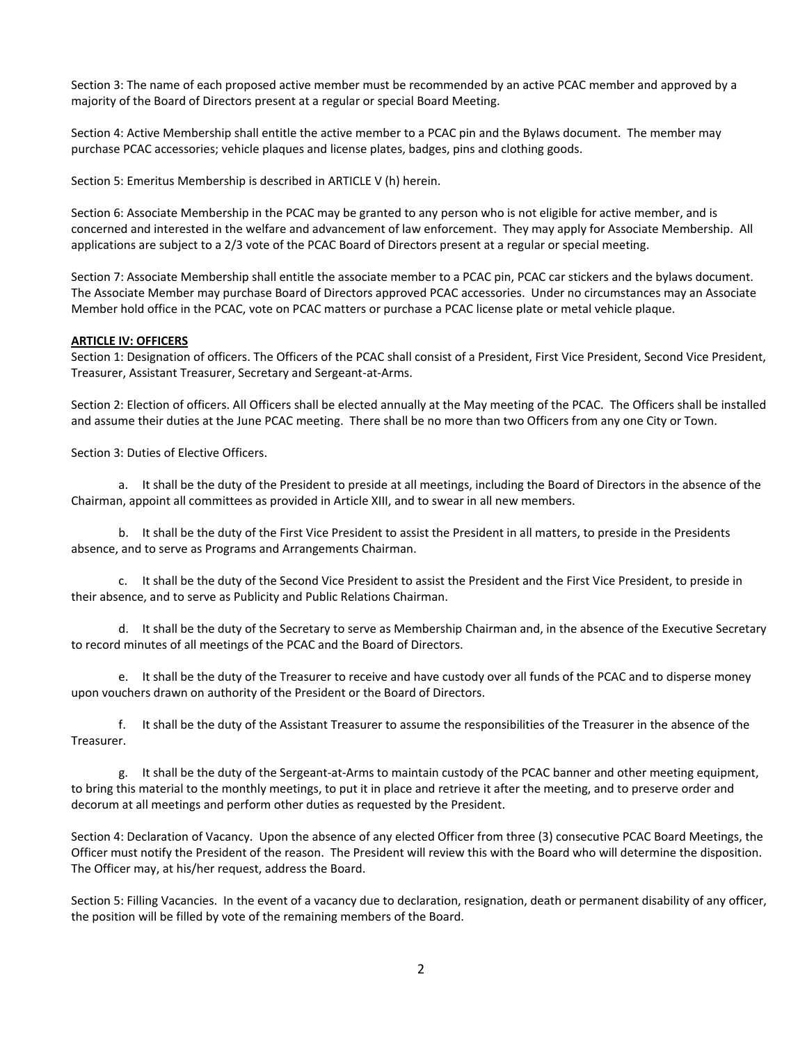Section 3: The name of each proposed active member must be recommended by an active PCAC member and approved by a majority of the Board of Directors present at a regular or special Board Meeting.

Section 4: Active Membership shall entitle the active member to a PCAC pin and the Bylaws document. The member may purchase PCAC accessories; vehicle plaques and license plates, badges, pins and clothing goods.

Section 5: Emeritus Membership is described in ARTICLE V (h) herein.

Section 6: Associate Membership in the PCAC may be granted to any person who is not eligible for active member, and is concerned and interested in the welfare and advancement of law enforcement. They may apply for Associate Membership. All applications are subject to a 2/3 vote of the PCAC Board of Directors present at a regular or special meeting.

Section 7: Associate Membership shall entitle the associate member to a PCAC pin, PCAC car stickers and the bylaws document. The Associate Member may purchase Board of Directors approved PCAC accessories. Under no circumstances may an Associate Member hold office in the PCAC, vote on PCAC matters or purchase a PCAC license plate or metal vehicle plaque.

#### **ARTICLE IV: OFFICERS**

Section 1: Designation of officers. The Officers of the PCAC shall consist of a President, First Vice President, Second Vice President, Treasurer, Assistant Treasurer, Secretary and Sergeant-at-Arms.

Section 2: Election of officers. All Officers shall be elected annually at the May meeting of the PCAC. The Officers shall be installed and assume their duties at the June PCAC meeting. There shall be no more than two Officers from any one City or Town.

Section 3: Duties of Elective Officers.

a. It shall be the duty of the President to preside at all meetings, including the Board of Directors in the absence of the Chairman, appoint all committees as provided in Article XIII, and to swear in all new members.

b. It shall be the duty of the First Vice President to assist the President in all matters, to preside in the Presidents absence, and to serve as Programs and Arrangements Chairman.

c. It shall be the duty of the Second Vice President to assist the President and the First Vice President, to preside in their absence, and to serve as Publicity and Public Relations Chairman.

d. It shall be the duty of the Secretary to serve as Membership Chairman and, in the absence of the Executive Secretary to record minutes of all meetings of the PCAC and the Board of Directors.

e. It shall be the duty of the Treasurer to receive and have custody over all funds of the PCAC and to disperse money upon vouchers drawn on authority of the President or the Board of Directors.

f. It shall be the duty of the Assistant Treasurer to assume the responsibilities of the Treasurer in the absence of the Treasurer.

g. It shall be the duty of the Sergeant-at-Arms to maintain custody of the PCAC banner and other meeting equipment, to bring this material to the monthly meetings, to put it in place and retrieve it after the meeting, and to preserve order and decorum at all meetings and perform other duties as requested by the President.

Section 4: Declaration of Vacancy. Upon the absence of any elected Officer from three (3) consecutive PCAC Board Meetings, the Officer must notify the President of the reason. The President will review this with the Board who will determine the disposition. The Officer may, at his/her request, address the Board.

Section 5: Filling Vacancies. In the event of a vacancy due to declaration, resignation, death or permanent disability of any officer, the position will be filled by vote of the remaining members of the Board.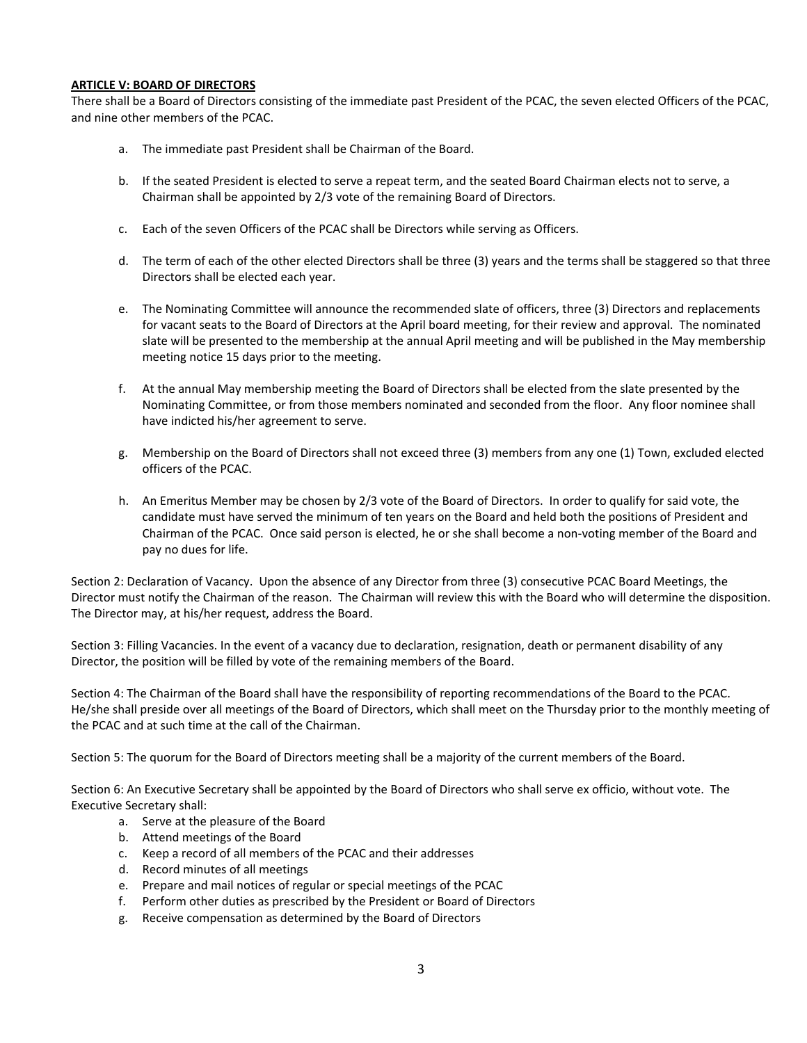### **ARTICLE V: BOARD OF DIRECTORS**

There shall be a Board of Directors consisting of the immediate past President of the PCAC, the seven elected Officers of the PCAC, and nine other members of the PCAC.

- a. The immediate past President shall be Chairman of the Board.
- b. If the seated President is elected to serve a repeat term, and the seated Board Chairman elects not to serve, a Chairman shall be appointed by 2/3 vote of the remaining Board of Directors.
- c. Each of the seven Officers of the PCAC shall be Directors while serving as Officers.
- d. The term of each of the other elected Directors shall be three (3) years and the terms shall be staggered so that three Directors shall be elected each year.
- e. The Nominating Committee will announce the recommended slate of officers, three (3) Directors and replacements for vacant seats to the Board of Directors at the April board meeting, for their review and approval. The nominated slate will be presented to the membership at the annual April meeting and will be published in the May membership meeting notice 15 days prior to the meeting.
- f. At the annual May membership meeting the Board of Directors shall be elected from the slate presented by the Nominating Committee, or from those members nominated and seconded from the floor. Any floor nominee shall have indicted his/her agreement to serve.
- g. Membership on the Board of Directors shall not exceed three (3) members from any one (1) Town, excluded elected officers of the PCAC.
- h. An Emeritus Member may be chosen by 2/3 vote of the Board of Directors. In order to qualify for said vote, the candidate must have served the minimum of ten years on the Board and held both the positions of President and Chairman of the PCAC. Once said person is elected, he or she shall become a non-voting member of the Board and pay no dues for life.

Section 2: Declaration of Vacancy. Upon the absence of any Director from three (3) consecutive PCAC Board Meetings, the Director must notify the Chairman of the reason. The Chairman will review this with the Board who will determine the disposition. The Director may, at his/her request, address the Board.

Section 3: Filling Vacancies. In the event of a vacancy due to declaration, resignation, death or permanent disability of any Director, the position will be filled by vote of the remaining members of the Board.

Section 4: The Chairman of the Board shall have the responsibility of reporting recommendations of the Board to the PCAC. He/she shall preside over all meetings of the Board of Directors, which shall meet on the Thursday prior to the monthly meeting of the PCAC and at such time at the call of the Chairman.

Section 5: The quorum for the Board of Directors meeting shall be a majority of the current members of the Board.

Section 6: An Executive Secretary shall be appointed by the Board of Directors who shall serve ex officio, without vote. The Executive Secretary shall:

- a. Serve at the pleasure of the Board
- b. Attend meetings of the Board
- c. Keep a record of all members of the PCAC and their addresses
- d. Record minutes of all meetings
- e. Prepare and mail notices of regular or special meetings of the PCAC
- f. Perform other duties as prescribed by the President or Board of Directors
- g. Receive compensation as determined by the Board of Directors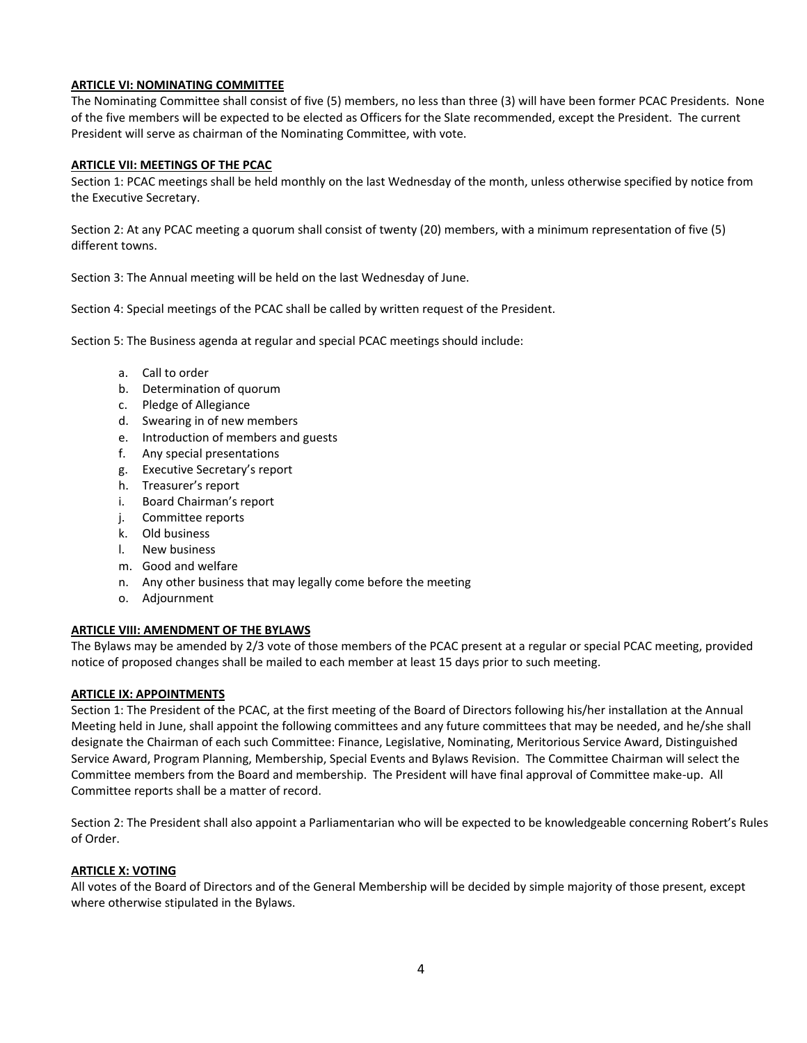## **ARTICLE VI: NOMINATING COMMITTEE**

The Nominating Committee shall consist of five (5) members, no less than three (3) will have been former PCAC Presidents. None of the five members will be expected to be elected as Officers for the Slate recommended, except the President. The current President will serve as chairman of the Nominating Committee, with vote.

### **ARTICLE VII: MEETINGS OF THE PCAC**

Section 1: PCAC meetings shall be held monthly on the last Wednesday of the month, unless otherwise specified by notice from the Executive Secretary.

Section 2: At any PCAC meeting a quorum shall consist of twenty (20) members, with a minimum representation of five (5) different towns.

Section 3: The Annual meeting will be held on the last Wednesday of June.

Section 4: Special meetings of the PCAC shall be called by written request of the President.

Section 5: The Business agenda at regular and special PCAC meetings should include:

- a. Call to order
- b. Determination of quorum
- c. Pledge of Allegiance
- d. Swearing in of new members
- e. Introduction of members and guests
- f. Any special presentations
- g. Executive Secretary's report
- h. Treasurer's report
- i. Board Chairman's report
- j. Committee reports
- k. Old business
- l. New business
- m. Good and welfare
- n. Any other business that may legally come before the meeting
- o. Adjournment

#### **ARTICLE VIII: AMENDMENT OF THE BYLAWS**

The Bylaws may be amended by 2/3 vote of those members of the PCAC present at a regular or special PCAC meeting, provided notice of proposed changes shall be mailed to each member at least 15 days prior to such meeting.

#### **ARTICLE IX: APPOINTMENTS**

Section 1: The President of the PCAC, at the first meeting of the Board of Directors following his/her installation at the Annual Meeting held in June, shall appoint the following committees and any future committees that may be needed, and he/she shall designate the Chairman of each such Committee: Finance, Legislative, Nominating, Meritorious Service Award, Distinguished Service Award, Program Planning, Membership, Special Events and Bylaws Revision. The Committee Chairman will select the Committee members from the Board and membership. The President will have final approval of Committee make-up. All Committee reports shall be a matter of record.

Section 2: The President shall also appoint a Parliamentarian who will be expected to be knowledgeable concerning Robert's Rules of Order.

#### **ARTICLE X: VOTING**

All votes of the Board of Directors and of the General Membership will be decided by simple majority of those present, except where otherwise stipulated in the Bylaws.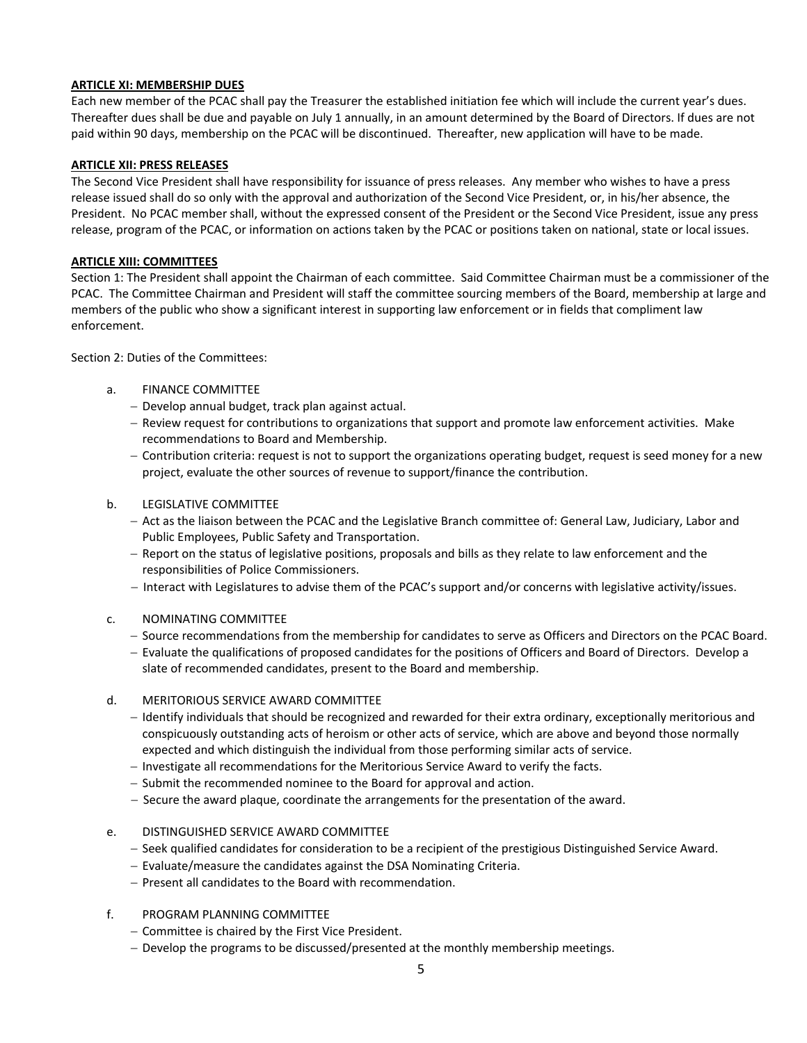## **ARTICLE XI: MEMBERSHIP DUES**

Each new member of the PCAC shall pay the Treasurer the established initiation fee which will include the current year's dues. Thereafter dues shall be due and payable on July 1 annually, in an amount determined by the Board of Directors. If dues are not paid within 90 days, membership on the PCAC will be discontinued. Thereafter, new application will have to be made.

### **ARTICLE XII: PRESS RELEASES**

The Second Vice President shall have responsibility for issuance of press releases. Any member who wishes to have a press release issued shall do so only with the approval and authorization of the Second Vice President, or, in his/her absence, the President. No PCAC member shall, without the expressed consent of the President or the Second Vice President, issue any press release, program of the PCAC, or information on actions taken by the PCAC or positions taken on national, state or local issues.

### **ARTICLE XIII: COMMITTEES**

Section 1: The President shall appoint the Chairman of each committee. Said Committee Chairman must be a commissioner of the PCAC. The Committee Chairman and President will staff the committee sourcing members of the Board, membership at large and members of the public who show a significant interest in supporting law enforcement or in fields that compliment law enforcement.

Section 2: Duties of the Committees:

- a. FINANCE COMMITTEE
	- − Develop annual budget, track plan against actual.
	- − Review request for contributions to organizations that support and promote law enforcement activities. Make recommendations to Board and Membership.
	- − Contribution criteria: request is not to support the organizations operating budget, request is seed money for a new project, evaluate the other sources of revenue to support/finance the contribution.
- b. LEGISLATIVE COMMITTEE
	- − Act as the liaison between the PCAC and the Legislative Branch committee of: General Law, Judiciary, Labor and Public Employees, Public Safety and Transportation.
	- − Report on the status of legislative positions, proposals and bills as they relate to law enforcement and the responsibilities of Police Commissioners.
	- − Interact with Legislatures to advise them of the PCAC's support and/or concerns with legislative activity/issues.
- c. NOMINATING COMMITTEE
	- − Source recommendations from the membership for candidates to serve as Officers and Directors on the PCAC Board.
	- − Evaluate the qualifications of proposed candidates for the positions of Officers and Board of Directors. Develop a slate of recommended candidates, present to the Board and membership.
- d. MERITORIOUS SERVICE AWARD COMMITTEE
	- − Identify individuals that should be recognized and rewarded for their extra ordinary, exceptionally meritorious and conspicuously outstanding acts of heroism or other acts of service, which are above and beyond those normally expected and which distinguish the individual from those performing similar acts of service.
	- − Investigate all recommendations for the Meritorious Service Award to verify the facts.
	- − Submit the recommended nominee to the Board for approval and action.
	- − Secure the award plaque, coordinate the arrangements for the presentation of the award.
- e. DISTINGUISHED SERVICE AWARD COMMITTEE
	- − Seek qualified candidates for consideration to be a recipient of the prestigious Distinguished Service Award.
	- − Evaluate/measure the candidates against the DSA Nominating Criteria.
	- − Present all candidates to the Board with recommendation.
- f. PROGRAM PLANNING COMMITTEE
	- − Committee is chaired by the First Vice President.
	- − Develop the programs to be discussed/presented at the monthly membership meetings.